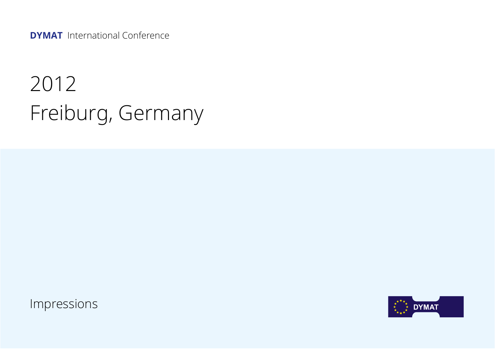**DYMAT** International Conference

## 2012 Freiburg, Germany

Impressions

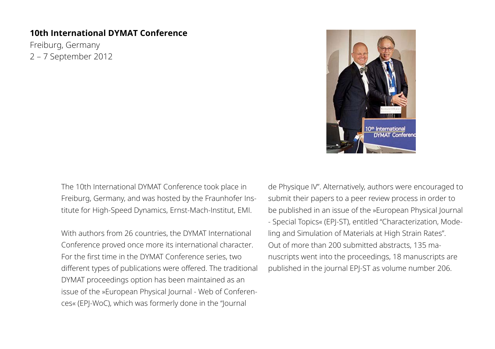## **10th International DYMAT Conference**

Freiburg, Germany 2 – 7 September 2012



The 10th International DYMAT Conference took place in Freiburg, Germany, and was hosted by the Fraunhofer Institute for High-Speed Dynamics, Ernst-Mach-Institut, EMI.

With authors from 26 countries, the DYMAT International Conference proved once more its international character. For the first time in the DYMAT Conference series, two different types of publications were offered. The traditional DYMAT proceedings option has been maintained as an issue of the »European Physical Journal - Web of Conferences« (EPJ-WoC), which was formerly done in the "Journal

de Physique IV". Alternatively, authors were encouraged to submit their papers to a peer review process in order to be published in an issue of the »European Physical Journal - Special Topics« (EPJ-ST), entitled "Characterization, Modeling and Simulation of Materials at High Strain Rates". Out of more than 200 submitted abstracts, 135 manuscripts went into the proceedings, 18 manuscripts are published in the journal EPJ-ST as volume number 206.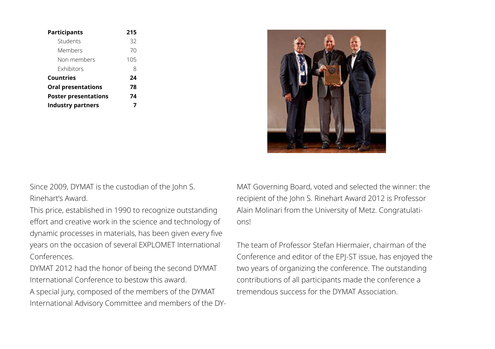| <b>Participants</b>         | 215 |
|-----------------------------|-----|
| Students                    | 32  |
| Members                     | 70  |
| Non members                 | 105 |
| <b>Exhibitors</b>           | 8   |
| Countries                   | 24  |
| <b>Oral presentations</b>   | 78  |
| <b>Poster presentations</b> | 74  |
| <b>Industry partners</b>    | 7   |



Since 2009, DYMAT is the custodian of the John S. Rinehart's Award.

This price, established in 1990 to recognize outstanding effort and creative work in the science and technology of dynamic processes in materials, has been given every five years on the occasion of several EXPLOMET International Conferences.

DYMAT 2012 had the honor of being the second DYMAT International Conference to bestow this award.

A special jury, composed of the members of the DYMAT International Advisory Committee and members of the DY- MAT Governing Board, voted and selected the winner: the recipient of the John S. Rinehart Award 2012 is Professor Alain Molinari from the University of Metz. Congratulations!

The team of Professor Stefan Hiermaier, chairman of the Conference and editor of the EPJ-ST issue, has enjoyed the two years of organizing the conference. The outstanding contributions of all participants made the conference a tremendous success for the DYMAT Association.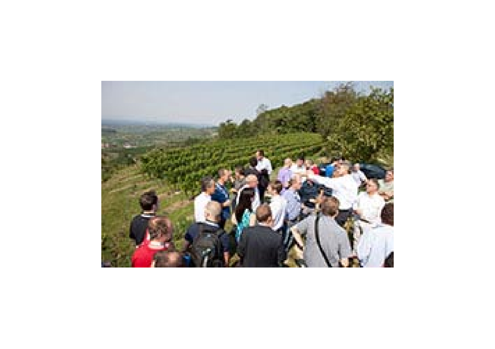